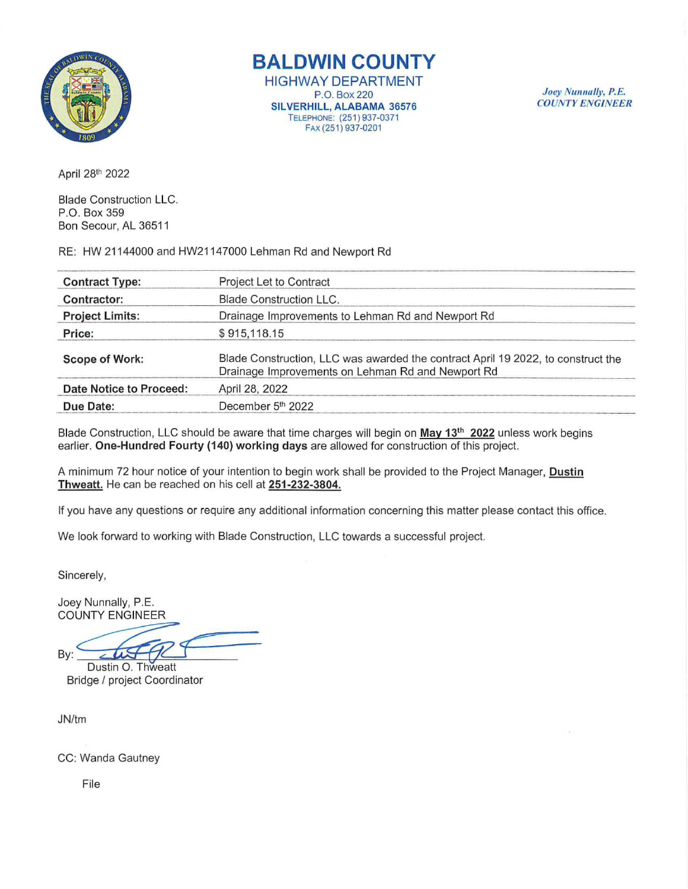

# **BALDWIN COUNTY**

HIGHWAY DEPARTMENT P.O. Box 220 SILVERHILL, ALABAMA 36576 TELEPHONE: (251) 937-0371 FAX (251) 937-0201

Joey Nunnally, P.E. *COUNT Y ENGINEER* 

April 281 h 2022

Blade Construction LLC. P.O. Box 359 Bon Secour, AL 36511

RE: HW 21144000 and HW2114 7000 Lehman Rd and Newport Rd

| <b>Contract Type:</b>          | Project Let to Contract                                                                                                               |  |
|--------------------------------|---------------------------------------------------------------------------------------------------------------------------------------|--|
| Contractor:                    | <b>Blade Construction LLC.</b>                                                                                                        |  |
| <b>Project Limits:</b>         | Drainage Improvements to Lehman Rd and Newport Rd                                                                                     |  |
| Price:                         | \$915,118.15                                                                                                                          |  |
| <b>Scope of Work:</b>          | Blade Construction, LLC was awarded the contract April 19 2022, to construct the<br>Drainage Improvements on Lehman Rd and Newport Rd |  |
| <b>Date Notice to Proceed:</b> | April 28, 2022                                                                                                                        |  |
| Due Date:                      | December 5th 2022                                                                                                                     |  |

Blade Construction, LLC should be aware that time charges will begin on May 13<sup>th</sup> 2022 unless work begins earlier. One-Hundred Fourty (140) working days are allowed for construction of this project.

A minimum 72 hour notice of your intention to begin work shall be provided to the Project Manager, Dustin Thweatt. He can be reached on his cell at 251-232-3804.

If you have any questions or require any additional information concerning this matter please contact this office.

We look forward to working with Blade Construction, LLC towards a successful project.

Sincerely,

Joey Nunnally, P.E. COUNTY ENGINEER

 $-450$ Sincerely,<br>
Joey Nunnally, P.E.<br>
COUNTY ENGINEER<br>
By: Custin 0. Thweatt<br>
Ridge / project Coordinator

Bridge / project Coordinator

JN/tm

CC: Wanda Gautney

File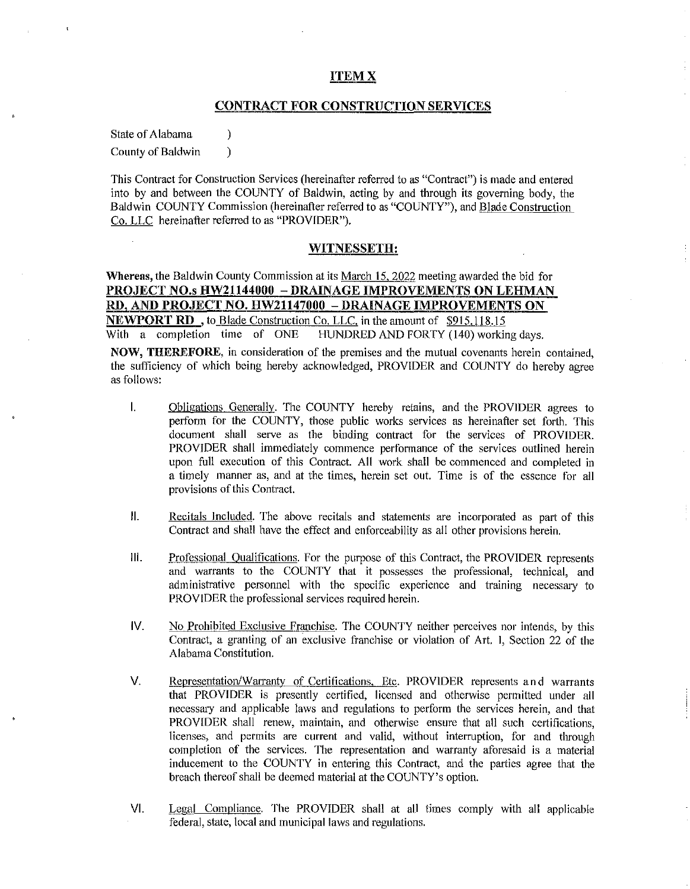## ITEMX

## CONTRACT FOR CONSTRUCTION SERVICES

State of Alabama (b) County of Baldwin (1)

as follows:

This Contract for Construction Services (hereinafter referred to as "Contract") is made and entered into by and between the COUNTY of Baldwin, acting by and through its governing body, the Baldwin COUNTY Commission (hereinafter referred to as "COUNTY"), and Blade Construction Co. LLC hereinafter referred to as "PROVIDER").

## WITNESSETH:

Whereas, the Baldwin County Commission at its March 15. 2022 meeting awarded the bid for PROJECT NO.s HW21144000 - DRAINAGE IMPROVEMENTS ON LEHMAN RD, AND PROJECT NO. HW21147000 - DRAINAGE IMPROVEMENTS ON **NEWPORT RD**, to Blade Construction Co. LLC, in the amount of \$915,118.15<br>With a completion time of ONE HUNDRED AND FORTY (140) working HUNDRED AND FORTY (140) working days. NOW, THEREFORE, in consideration of the premises and the mutual covenants herein contained, the sufficiency of which being hereby acknowledged, PROVIDER and COUNTY do hereby agree

- I. Obligations Generally. The COUNTY hereby retains, and the PROVIDER agrees to perform for the COUNTY, those public works services as hereinafter set forth. This document shall serve as the binding contract for the services of PROVIDER. PROVIDER shall immediately commence performance of the services outlined herein upon full execution of this Contract. All work shall be commenced and completed in a timely manner as, and at the times, herein set out. Time is of the essence for all provisions of this Contract.
- II. Recitals Included. The above recitals and statements are incorporated as part of this Contract and shall have the effect and enforceability as all other provisions herein.
- Ill. Professional Qualifications. For the purpose of this Contract, the PROVIDER represents and warrants to the COUNTY that it possesses the professional, technical, and administrative personnel with the specific experience and training necessary to PROVIDER the professional services required herein.
- IV. No Prohibited Exclusive Franchise. The COUNTY neither perceives nor intends, by this Contract, a granting of an exclusive franchise or violation of Art. I, Section 22 of the Alabama Constitution.
- V. Representation/Warranty of Certifications, Etc. PROVIDER represents and warrants that PROVIDER is presently certified, licensed and otherwise permitted under all necessary and applicable laws and regulations to perform the services herein, and that PROVIDER shall renew, maintain, and otherwise ensure that all such certifications, licenses, and permits are current and valid, without interruption, for and through completion of the services. The representation and warranty aforesaid is a material inducement to the COUNTY in entering this Contract, and the parties agree that the breach thereof shall be deemed material at the COUNTY's option.
- VI. Legal Compliance. The PROVIDER shall at all times comply with all applicable federal, state, local and municipal laws and regulations.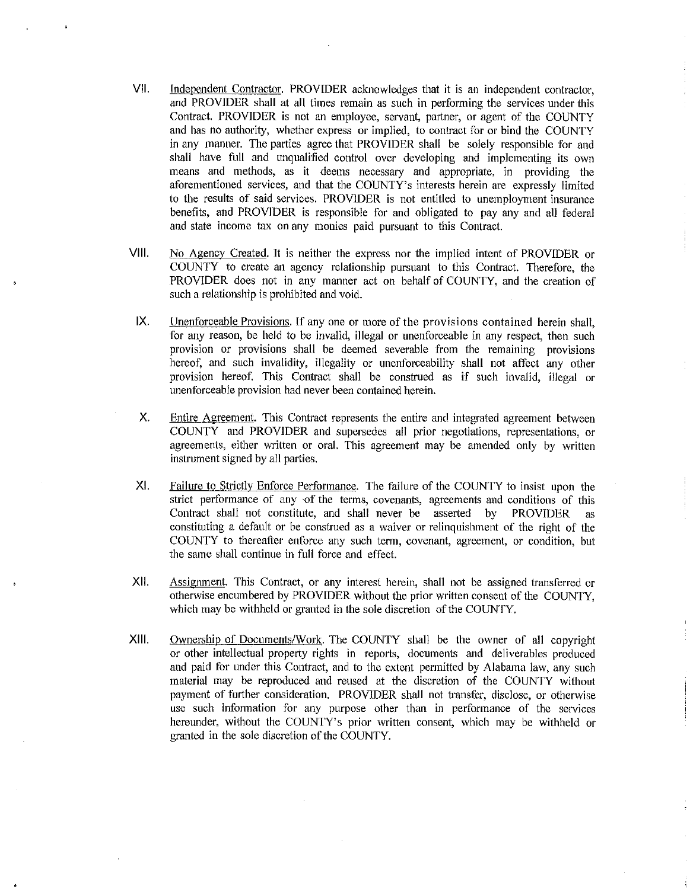- VII. Independent Contractor. PROVIDER acknowledges that it is an independent contractor, and PROVIDER shall at all times remain as such in performing the services under this Contract. PROVIDER is not an employee, servant, partner, or agent of the COUNTY and has no authority, whether express or implied, to contract for or bind the COUNTY in any manner. The parties agree that PROVIDER shall be solely responsible for and shall have full and unqualified control over developing and implementing its own means and methods, as it deems necessary and appropriate, in providing the aforementioned services, and that the COUNTY's interests herein are expressly limited to the results of said services. PROVIDER is not entitled to unemployment insurance benefits, and PROVIDER is responsible for and obligated to pay any and all federal and state income tax on any monies paid pursuant to this Contract.
- VIII. No Agency Created. It is neither the express nor the implied intent of PROVIDER or COUNTY to create an agency relationship pursuant to this Contract. Therefore, the PROVIDER does not in any manner act on behalf of COUNTY, and the creation of such a relationship is prohibited and void.
- IX. Unenforceable Provisions. If any one or more of the provisions contained herein shall, for any reason, be held to be invalid, illegal or unenforceable in any respect, then such provision or provisions shall be deemed severable from the remaining provisions hereof, and such invalidity, illegality or unenforceability shall not affect any other provision hereof. This Contract shall be construed as if such invalid, illegal or unenforceable provision had never been contained herein.
- X. Entire Agreement. This Contract represents the entire and integrated agreement between COUNTY and PROVIDER and supersedes all prior negotiations, representations, or agreements, either written or oral. This agreement may be amended only by written instrument signed by all parties.
- XI. Failure to Strictly Enforce Performance. The failure of the COUNTY to insist upon the strict performance of any of the terms, covenants, agreements and conditions of this Contract shall not constitute, and shall never be asserted by PROVIDER as constituting a default or be construed as a waiver or relinquishment of the right of the COUNTY to thereafter enforce any such term, covenant, agreement, or condition, but the same shall continue in full force and effect.
- XII. Assignment. This Contract, or any interest herein, shall not be assigned transferred or otherwise encumbered by PROVIDER without the prior written consent of the COUNTY, which may be withheld or granted in the sole discretion of the COUNTY.
- XIII. Ownership of Documents/Work. The COUNTY shall be the owner of all copyright or other intellectual property rights in reports, documents and deliverables produced and paid for under this Contract, and to the extent permitted by Alabama law, any such material may be reproduced and reused at the discretion of the COUNTY without payment of further consideration. PROVIDER shall not transfer, disclose, or otherwise use such information for any purpose other than in performance of the services hereunder, without the COUNTY's prior written consent, which may be withheld or granted in the sole discretion of the COUNTY.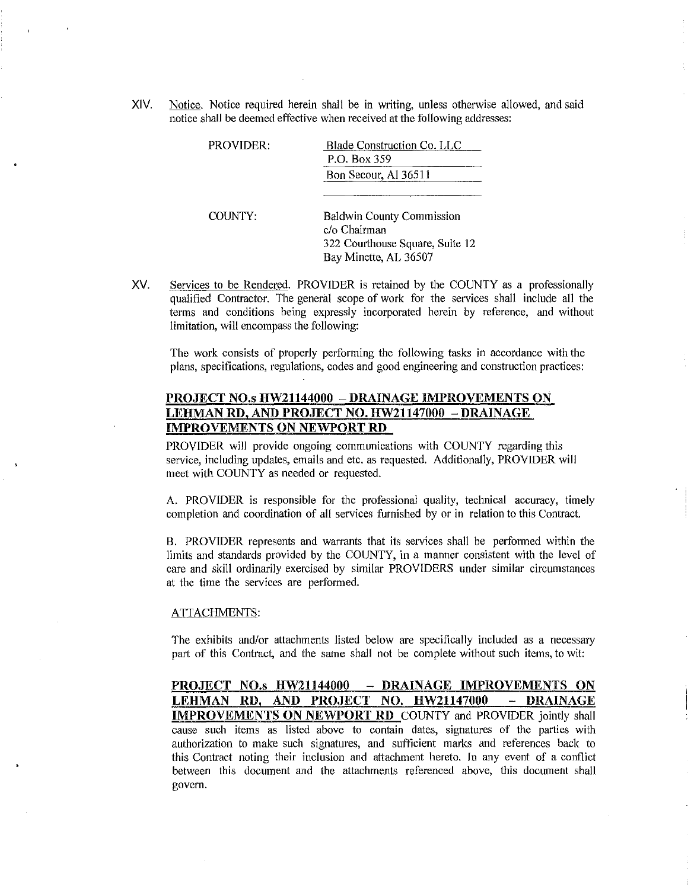XIV. Notice. Notice required herein shall be in writing, unless otherwise allowed, and said notice shall be deemed effective when received at the following addresses:

| PROVIDER: | Blade Construction Co. LLC<br>P.O. Box 359                                                                   |
|-----------|--------------------------------------------------------------------------------------------------------------|
|           | Bon Secour, Al 36511                                                                                         |
| COUNTY:   | <b>Baldwin County Commission</b><br>c/o Chairman<br>322 Courthouse Square, Suite 12<br>Bay Minette, AL 36507 |

XV. Services to be Rendered. PROVIDER is retained by the COUNTY as a professionally qualified Contractor. The general scope of work for the services shall include all the terms and conditions being expressly incorporated herein by reference, and without limitation, will encompass the following:

The work consists of properly perfonning the following tasks in accordance with the plans, specifications, regulations, codes and good engineering and construction practices:

# PROJECT NO.s HW21144000 - DRAINAGE IMPROVEMENTS ON LEHMAN RD, AND PROJECT NO. HW21147000 - DRAINAGE IMPROVEMENTS ON NEWPORT RD

PROVIDER will provide ongoing communications with COUNTY regarding this service, including updates, emails and etc. as requested. Additionally, PROVIDER will meet with COUNTY as needed or requested.

A. PROVIDER is responsible for the professional quality, technical accuracy, timely completion and coordination of all services furnished by or in relation to this Contract.

B. PROVIDER represents and warrants that its services shall be performed within the limits and standards provided by the COUNTY, in a manner consistent with the level of care and skill ordinarily exercised by similar PROVIDERS under similar circumstances at the time the services are performed.

#### ATTACHMENTS:

The exhibits and/or attachments listed below are specifically included as a necessary part of this Contract, and the same shall not be complete without such items, to wit:

PROJECT NO.s HW21144000 - DRAINAGE IMPROVEMENTS ON LEHMAN RD, AND PROJECT NO. HW21147000 - DRAINAGE **IMPROVEMENTS ON NEWPORT RD** COUNTY and PROVIDER jointly shall cause such items as listed above to contain dates, signatures of the parties with authorization to make such signatures, and sufficient marks and references back to this Contract noting their inclusion and attachment hereto. In any event of a conflict between this document and the attachments referenced above, this document shall govern.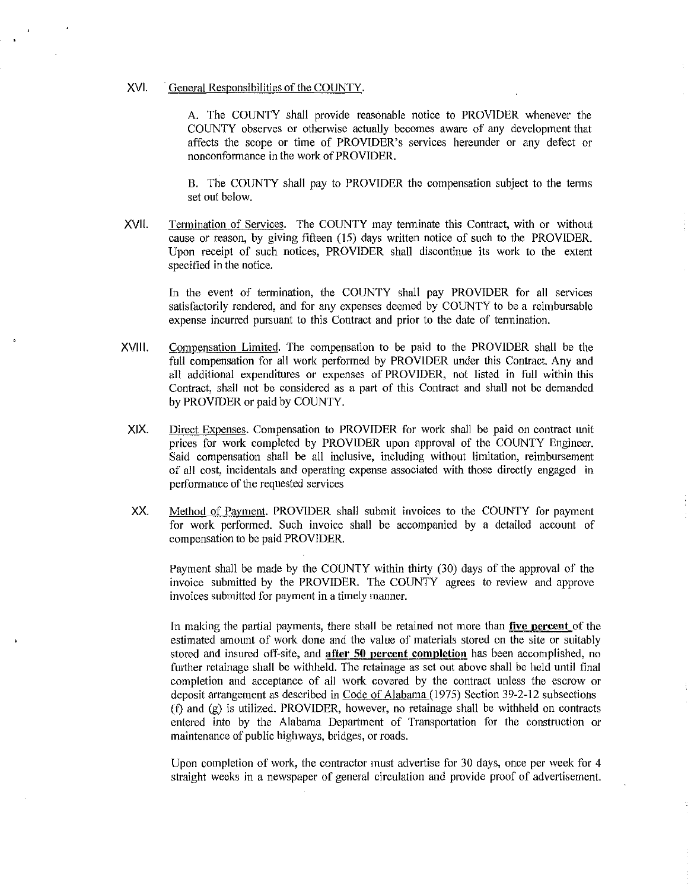## XVI. General Responsibilities of the COUNTY.

A. The COUNTY shall provide reasonable notice to PROVIDER whenever the COUNTY observes or otherwise actually becomes aware of any development that affects the scope or time of PROVIDER's services hereunder or any defect or nonconformance in the work of PROVIDER.

B. The COUNTY shall pay to PROVIDER the compensation subject to the terms set out below.

XVII. Termination of Services. The COUNTY may terminate this Contract, with or without cause or reason, by giving fifteen (15) days written notice of such to the PROVIDER. Upon receipt of such notices, PROVIDER shall discontinue its work to the extent specified in the notice.

In the event of termination, the COUNTY shall pay PROVfDER for all services satisfactorily rendered, and for any expenses deemed by COUNTY to be a reimbursable expense incurred pursuant to this Contract and prior to the date of termination.

- XVIII. Compensation Limited. The compensation to be paid to the PROVIDER shall be the full compensation for all work performed by PROVIDER under this Contract. Any and all additional expenditures or expenses of PROVIDER, not listed in full within this Contract, shall not be considered as a part of this Contract and shall not be demanded by PROVIDER or paid by COUNTY.
- XIX. Direct Expenses. Compensation to PROVIDER for work shall be paid on contract unit prices for work completed by PROVIDER upon approval of the COUNTY Engineer. Said compensation shall be all inclusive, including without limitation, reimbursement of all cost, incidentals and operating expense associated with those directly engaged in performance of the requested services
- XX. Method of Payment. PROVIDER shall submit invoices to the COUNTY for payment for work performed. Such invoice shall be accompanied by a detailed account of compensation to be paid PROVIDER.

Payment shall be made by the COUNTY within thirty (30) days of the approval of the invoice submitted by the PROVIDER. The COUNTY agrees to review and approve invoices submitted for payment in a timely manner.

fn making the partial payments, there shall be retained not more than **five percent** of the estimated amount of work done and the value of materials stored on the site or suitably stored and insured off-site, and **after 50 percent completion** has been accomplished, no further retainage shall be withheld. The retainage as set out above shall be held until final completion and acceptance of all work covered by the contract unless the escrow or deposit arrangement as described in Code of Alabama (1975) Section 39-2-12 subsections (t) and (g) is utilized. PROVIDER, however, no retainage shall be withheld on contracts entered into by the Alabama Department of Transportation for the construction or maintenance of public highways, bridges, or roads.

Upon completion of work, the contractor must advertise for 30 days, once per week for 4 straight weeks in a newspaper of general circulation and provide proof of advertisement.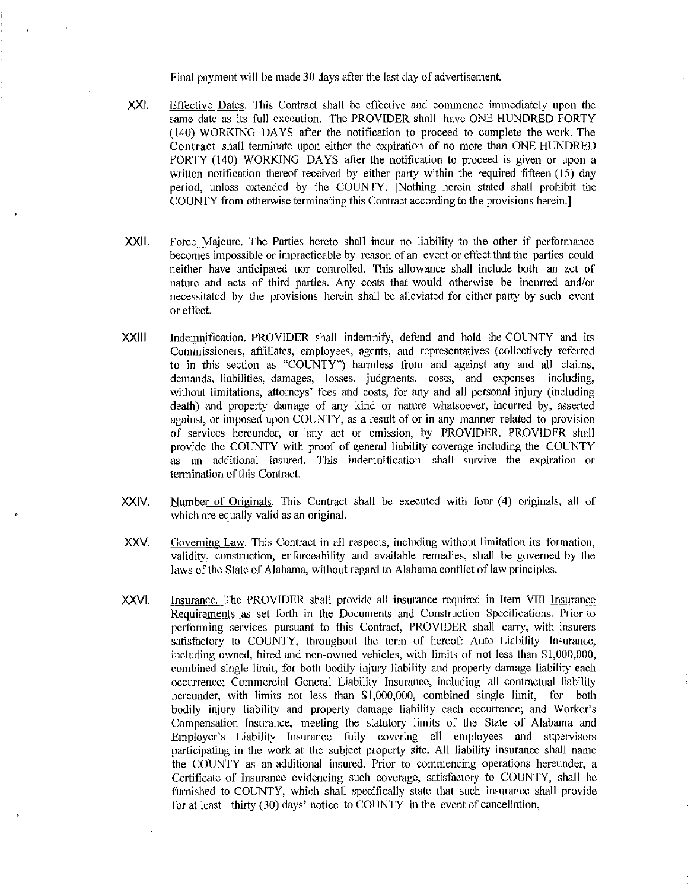Final payment will be made 30 days after the last day of advertisement.

- XXI. Effective Dates. This Contract shall be effective and commence immediately upon the same date as its full execution. The PROVIDER shall have ONE HUNDRED FORTY (140) WORKING DAYS after the notification to proceed to complete the work. The Contract shall terminate upon either the expiration of no more than ONE HUNDRED FORTY (140) WORKING DAYS after the notification to proceed is given or upon a written notification thereof received by either party within the required fifteen ( 15) day period, unless extended by the COUNTY. [Nothing herein stated shall prohibit the COUNTY from otherwise terminating this Contract according to the provisions herein.]
- XXll. Force Majeure. The Parties hereto shall incur no liability to the other if performance becomes impossible or impracticable by reason of an event or effect that the parties could neither have anticipated nor controlled. This allowance shall include both an act of nature and acts of third parties. Any costs that would otherwise be incurred and/or necessitated by the provisions herein shall be alleviated for either party by such event or effect.
- XXlll. Indemnification. PROVIDER shall indemnify, defend and hold the COUNTY and its Commissioners, affiliates, employees, agents, and representatives (collectively referred to in this section as "COUNTY") harmless from and against any and all claims, demands, liabilities, damages, losses, judgments, costs, and expenses including, without limitations, attorneys' fees and costs, for any and all personal injury (including death) and property damage of any kind or nature whatsoever, incurred by, asserted against, or imposed upon COUNTY, as a result of or in any manner related to provision of services hereunder, or any act or omission, by PROVIDER. PROVIDER shall provide the COUNTY with proof of general liability coverage including the COUNTY as an additional insured. This indemnification shall survive the expiration or termination of this Contract.
- XXIV. Number of Originals. This Contract shall be executed with four (4) originals, all of which are equally valid as an original.
- xxv. Governing Law. This Contract in all respects, including without limitation its formation, validity, construction, enforceability and available remedies, shall be governed by the laws of the State of Alabama, without regard to Alabama conflict of law principles.
- XXVI. Insurance. The PROVIDER shall provide all insurance required in Item VIII Insurance Requirements as set forth in the Documents and Construction Specifications. Prior to performing services pursuant to this Contract, PROVIDER shall carry, with insurers satisfactory to COUNTY, throughout the term of hereof: Auto Liability Insurance, including owned, hired and non-owned vehicles, with limits of not less than \$1,000,000, combined single limit, for both bodily injury liability and property damage liability each occurrence; Commercial General Liability Insurance, including all contractual liability hereunder, with limits not less than \$1,000,000, combined single limit, for both bodily injury liability and property damage liability each occurrence; and Worker's Compensation Insurance, meeting the statutory limits of the State of Alabama and Employer's Liability Insurance fully covering all employees and supervisors participating in the work at the subject property site. All liability insurance shall name the COUNTY as an additional insured. Prior to commencing operations hereunder, a Certificate of Insurance evidencing such coverage, satisfactory to COUNTY, shall be furnished to COUNTY, which shall specifically state that such insurance shall provide for at least thirty (30) days' notice to COUNTY in the event of cancellation,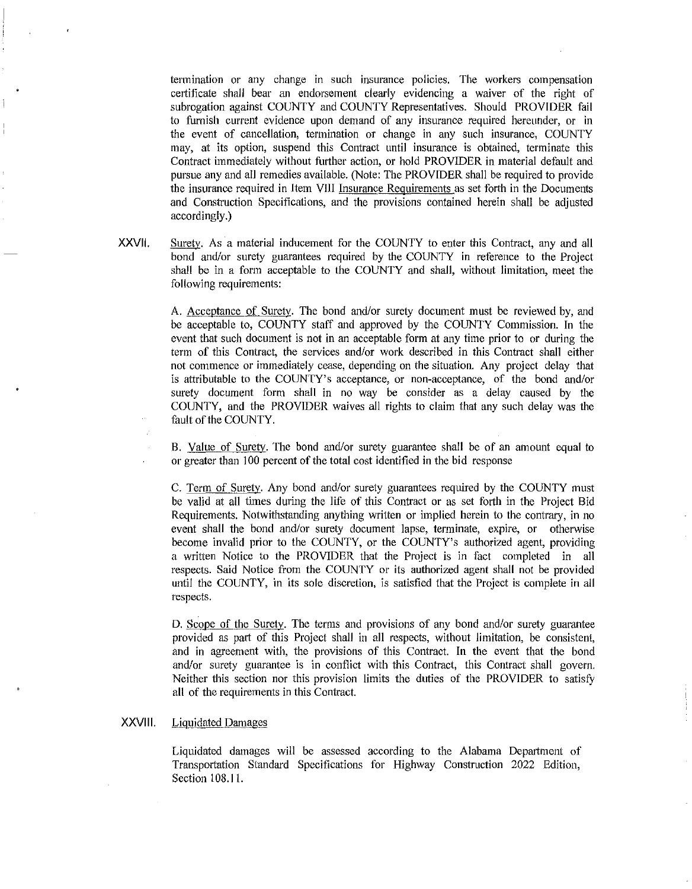termination or any change in such insurance policies. The workers compensation certificate shall bear an endorsement clearly evidencing a waiver of the right of subrogation against COUNTY and COUNTY Representatives. Should PROVIDER fail to furnish current evidence upon demand of any insurance required hereunder, or in the event of cancellation, termination or change in any such insurance, COUNTY may, at its option, suspend this Contract until insurance is obtained, terminate this Contract immediately without further action, or hold PROVIDER in material default and pursue any and all remedies available. (Note: The PROVIDER shall be required to provide the insurance required in Item VIII Insurance Requirements as set forth in the Documents and Construction Specifications, and the provisions contained herein shall be adjusted accordingly.)

XXVll. Surety. As a material inducement for the COUNTY to enter this Contract, any and all bond and/or surety guarantees required by the COUNTY in reference to the Project shall be in a form acceptable to the COUNTY and shall, without limitation, meet the following requirements:

> A. Acceptance of Surety. The bond and/or surety document must be reviewed by, and be acceptable to, COUNTY staff and approved by the COUNTY Commission. In the event that such document is not in an acceptable form at any time prior to or during the term of this Contract, the services and/or work described in this Contract shall either not commence or immediately cease, depending on the situation. Any project delay that is attributable to the COUNTY's acceptance, or non-acceptance, of the bond and/or surety document form shall in no way be consider as a delay caused by the COUNTY, and the PROVIDER waives all rights to claim that any such delay was the fault of the COUNTY.

> B. Value of Surety. The bond and/or surety guarantee shall be of an amount equal to or greater than 100 percent of the total cost identified in the bid response

> C. Term of Surety. Any bond and/or surety guarantees required by the COUNTY must be valid at all times during the life of this Contract or as set forth in the Project Bid Requirements. Notwithstanding anything written or implied herein to the contrary, in no event shall the bond and/or surety document lapse, terminate, expire, or otherwise become invalid prior to the COUNTY, or the COUNTY's authorized agent, providing a written Notice to the PROVIDER that the Project is in fact completed in all respects. Said Notice from the COUNTY or its authorized agent shall not be provided until the COUNTY, in its sole discretion, is satisfied that the Project is complete in all respects.

> D. Scope of the Surety. The terms and provisions of any bond and/or surety guarantee provided as part of this Project shall in all respects, without limitation, be consistent, and in agreement with, the provisions of this Contract. In the event that the bond and/or surety guarantee is in conflict with this Contract, this Contract shall govern. Neither this section nor this provision limits the duties of the PROVIDER to satisfy all of the requirements in this Contract.

## XXVIII. Liquidated Damages

Liquidated damages will be assessed according to the Alabama Department of Transportation Standard Specifications for Highway Construction 2022 Edition, Section 108.11.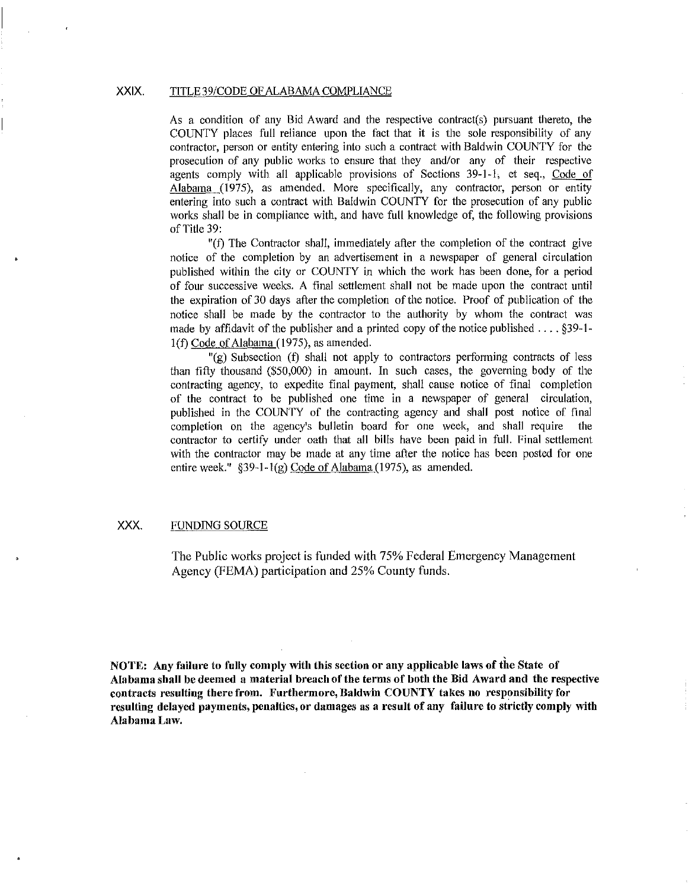## XXIX. TITLE 39/CODE OF ALABAMA COMPLIANCE

As a condition of any Bid Award and the respective contract(s) pursuant thereto, the COUNTY places full reliance upon the fact that it is the sole responsibility of any contractor, person or entity entering into such a contract with Baldwin COUNTY for the prosecution of any public works to ensure that they and/or any of their respective agents comply with all applicable provisions of Sections 39-1-1, et seq., Code of Alabama (1975), as amended. More specifically, any contractor, person or entity entering into such a contract with Baldwin COUNTY for the prosecution of any public works shall be in compliance with, and have full knowledge of, the following provisions of Title 39:

"(f) The Contractor shall, immediately after the completion of the contract give notice of the completion by an advertisement in a newspaper of general circulation published within the city or COUNTY in which the work has been done, for a period of four successive weeks. A final settlement shall not be made upon the contract until the expiration of30 days after the completion of the notice. Proof of publication of the notice shall be made by the contractor to the authority by whom the contract was made by affidavit of the publisher and a printed copy of the notice published .... §39-1 l(f) Code of Alabama (1975), as amended.

"(g) Subsection (f) shall not apply to contractors performing contracts of less than fifty thousand (\$50,000) in amount. In such cases, the governing body of the contracting agency, to expedite final payment, shall cause notice of final completion of the contract to be published one time in a newspaper of general circulation, published in the COUNTY of the contracting agency and shall post notice of final completion on the agency's bulletin board for one week, and shall require the contractor to certify under oath that all bills have been paid in full. Final settlement with the contractor may be made at any time after the notice has been posted for one entire week." §39-1-1(g) Code of Alabama (1975), as amended.

## XXX. FUNDING SOURCE

The Public works project is funded with 75% Federal Emergency Management Agency (FEMA) participation and 25% County funds.

NOTE: Any failure to fully comply with this section or any applicable laws of the State of Alabama shall be deemed a material breach of the terms of both the Bid Award and the respective contracts resulting there from. Furthermore, Baldwin COUNTY takes no responsibility for resulting delayed payments, penalties, or damages as a result of any failure to strictly comply with Alabama Law.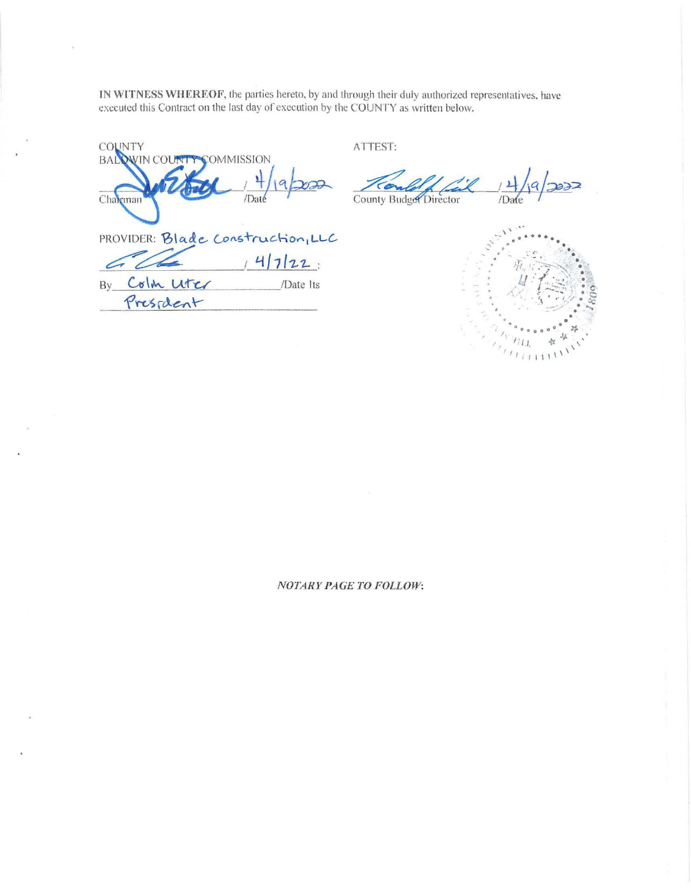IN WITNESS WHEREOF, the parties hereto, by and through their duly authorized representatives, have executed this Contract on the last day of execution by the COUNTY as written below.

**COUNTY BALOWIN COUNT COMMISSION** Chairman PROVIDER: Blade Construction, LLC  $147122:$ G UG /Date Its By Colm Liter President

ATTEST:

 $372$ County Budget Director /Date



**NOTARY PAGE TO FOLLOW:**